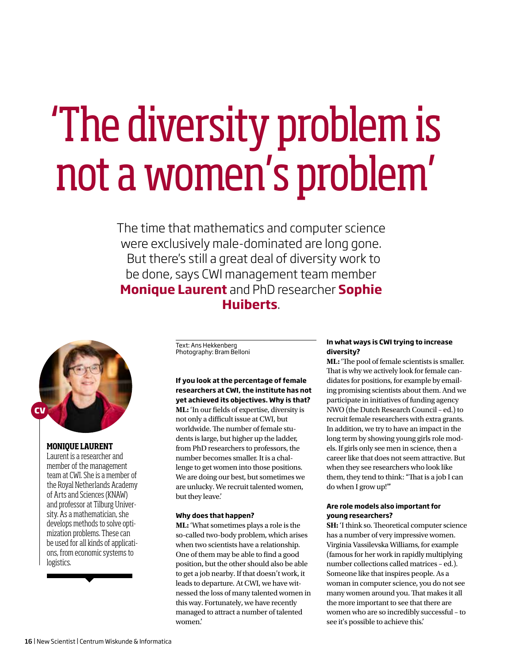# 'The diversity problem is not a women's problem'

The time that mathematics and computer science were exclusively male-dominated are long gone. But there's still a great deal of diversity work to be done, says CWI management team member **Monique Laurent** and PhD researcher **Sophie Huiberts**.



### **MONIQUE LAURENT**

Laurent is a researcher and member of the management team at CWI. She is a member of the Royal Netherlands Academy of Arts and Sciences (KNAW) and professor at Tilburg University. As a mathematician, she develops methods to solve optimization problems. These can be used for all kinds of applications, from economic systems to logistics.

Text: Ans Hekkenberg Photography: Bram Belloni

# **If you look at the percentage of female researchers at CWI, the institute has not yet achieved its objectives. Why is that? ML:** 'In our fields of expertise, diversity is not only a difficult issue at CWI, but worldwide. The number of female students is large, but higher up the ladder, from PhD researchers to professors, the number becomes smaller. It is a challenge to get women into those positions. We are doing our best, but sometimes we are unlucky. We recruit talented women, but they leave.'

#### **Why does that happen?**

**ML:** 'What sometimes plays a role is the so-called two-body problem, which arises when two scientists have a relationship. One of them may be able to find a good position, but the other should also be able to get a job nearby. If that doesn't work, it leads to departure. At CWI, we have witnessed the loss of many talented women in this way. Fortunately, we have recently managed to attract a number of talented women.'

### **In what ways is CWI trying to increase diversity?**

**ML:** 'The pool of female scientists is smaller. That is why we actively look for female candidates for positions, for example by emailing promising scientists about them. And we participate in initiatives of funding agency NWO (the Dutch Research Council – ed.) to recruit female researchers with extra grants. In addition, we try to have an impact in the long term by showing young girls role models. If girls only see men in science, then a career like that does not seem attractive. But when they see researchers who look like them, they tend to think: "That is a job I can do when I grow up!"'

### **Are role models also important for young researchers?**

**SH:** 'I think so. Theoretical computer science has a number of very impressive women. Virginia Vassilevska Williams, for example (famous for her work in rapidly multiplying number collections called matrices – ed.). Someone like that inspires people. As a woman in computer science, you do not see many women around you. That makes it all the more important to see that there are women who are so incredibly successful – to see it's possible to achieve this.'